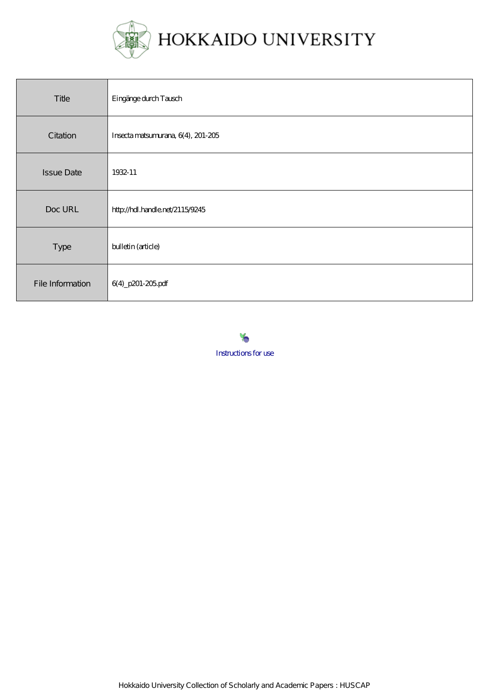

| Title             | Eingänge durch Tausch              |
|-------------------|------------------------------------|
| Citation          | Insecta matsumurana, 6(4), 201-205 |
| <b>Issue Date</b> | 1932-11                            |
| Doc URL           | http://hdl.handle.net/2115/9245    |
| Type              | bulletin (article)                 |
| File Information  | 6(4)_p201-205pdf                   |

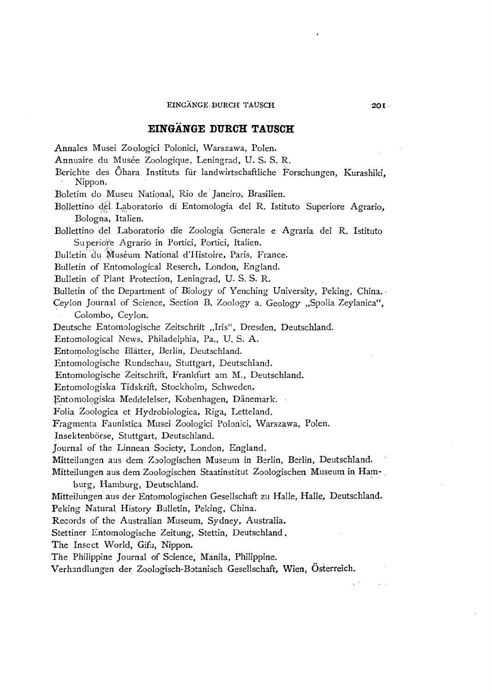## **EINGANGE DURCH TAUSCH**

Annales Musei Zoologici Polonici, Warszawa, Polen.

Annuaire du Musée Zoologique, Leningrad, U. S. S. R.

Berichte des Öhara Instituts für landwirtschaftliche Forschungen, Kurashiki, Nippon.

Boletim do Museu National, Rio de Janeiro, Brasilien.

Bollettino del Laboratorio di Entomologia del R. Istituto Superiore Agrario, Bologna, Italien.

BoIIettino del Laboratorio die Zoologia Generale e Agraria del R. Istituto Su periore Agrario in Portici, Portici, Italien.

Bulletin du Muséum National d'Histoire, Paris, France.

Bulletin of Entomological Reserch, London, England.

Bulletin of Plant Protection, Leningrad, U. S. S. R.

Bulletin of the Department of Biology of Yenching University, Peking, China.,

Ceylon Journal of Science, Section B, Zoology a. Geology "Spolia Zeylanica", Colombo, Ceylon.

Deutsche Entomologische Zeitschrift "Iris", Dresden, Deutschland.

Entomological News, Philadelphia, Pa., U. S. A.

Entomologische Blätter, Berlin, Deutschland.

Entomologische Rundschau, Stuttgart, Deutschland.

Entomologische Zeitschrift, Frankfurt am M., Deutschland.

Entomologiska Tidskrift, Stockholm, Schweden.

Entomologiska Meddelelser, Kobenhagen, Dänemark.

Folia Zoologica et Hydrobiologica, Riga, Letteland.

Fragmenta Faunistica Musei Zoologici Polonici, Warszawa, Polen.

Insektenbörse, Stuttgart, Deutschland.

Journal of the Linnean Society, London, England.

Mitteilungen aus dem Zoologischen Museum in Berlin, Berlin, Deutschland.

Mitteilungen aus dem Zoologischen Staatinstitut Zoologischen Museum in Hamburg, Hamburg, Deutschland.

Mitteilungen aus der Entomologischen Gesellschaft zu Halle, Halle, Deutschland.

Peking Natural. History Bulletin, Peking, China.

Records of the Australian Museum, Sydney, Australia.

Stettiner Entomologische Zeitung, Stettin, Deutschland.

The Insect World, Gifu, Nippon.

The Philippine Journal of Science, Manila, Philippine.

Verhandlungen der Zoologisch-Botanisch Gesellschaft, Wien, Österreich.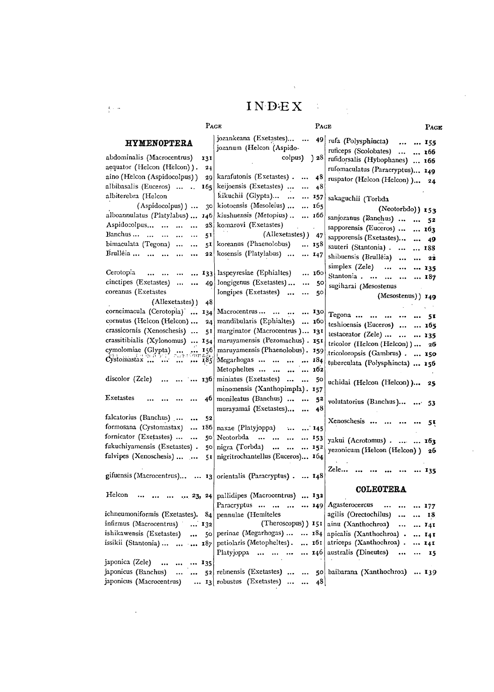## $INDEF X$

 $\label{eq:1.1} \sum_{\substack{ \mathbf{y} \in \mathbb{R}^d \\ \mathbf{y} \in \mathbb{R}^d \\ \mathbf{y} \in \mathbb{R}^d}} \mathbb{E}_{\mathbf{y} \sim \mathbb{R}^d} \left[ \mathbb{E}_{\mathbf{y} \sim \mathbb{R}^d} \left[ \mathbb{E}_{\mathbf{y} \sim \mathbb{R}^d} \left[ \mathbb{E}_{\mathbf{y} \sim \mathbb{R}^d} \left[ \mathbb{E}_{\mathbf{y} \sim \mathbb{R}^d} \left[ \mathbb{E}_{\mathbf{y} \sim \mathbb{R}^d}$ 

| PAGE                                                                                                       | PAGE                                                                                                           |                                                                   | PAGE       |
|------------------------------------------------------------------------------------------------------------|----------------------------------------------------------------------------------------------------------------|-------------------------------------------------------------------|------------|
| <b>HYMENOPTERA</b><br>abdominalis (Macrocentrus)                                                           | jozankeana (Exetastes)  49<br>jozanum (Helcon (Aspido-<br>colpus) $\sqrt{28}$                                  | rufa (Polysphincta)<br>$\cdots$<br>ruficeps (Scolobates)          | 155<br>166 |
| 131<br>aequator (Helcon (Helcon)).<br>24                                                                   |                                                                                                                | rufidorsalis (Hybophanes)  166<br>rufomaculatus (Paracryptus) 149 |            |
| aino (Helcon (Aspidocolpus))<br>29<br>albibasalis (Euceros)<br>165                                         | karafutonis (Exetastes) 48<br>keijoensis (Exetastes)<br>$\cdots$<br>48                                         | ruspator (Helcon (Helcon) )                                       | 24         |
| albiterebra (Helcon                                                                                        | kikuchii (Glypta)<br>157                                                                                       | sakaguchii (Torbda                                                |            |
| $(Aspidocolpus)$<br>30<br>alboannulatus (Platylabus)<br>146                                                | kiotoensis (Mesoleius)<br>165<br>kiushuensis (Metopius)   166                                                  | (Neotorbdo)) 153<br>sanjozanus (Banchus)                          | 52         |
| Aspidocolpus<br>28<br>$\ddotsc$<br>Banchus<br>51<br>$\ddots$                                               | komarovi (Exetastes)<br>(Allexetastes)) 47                                                                     | sapporensis (Euceros)   163                                       |            |
| bimaculata (Tegona)<br>51<br>$\cdots$<br>$\ddotsc$                                                         | koreanus (Phaenolobus)<br>158                                                                                  | sapporensis (Exetastes)<br>sauteri (Stantonia)  188               | 49         |
| Brulléia<br>22<br>$\cdots$<br>$\cdots$<br>                                                                 | kosensis (Platylabus)<br>147                                                                                   | shibuensis (Brulléia)<br>simplex (Zele)<br>$\cdots$ $\cdots$      | 22<br>135  |
| Cerotopia<br>$\ddotsc$<br>133<br>$\sim$ 100 $\pm$<br>$\ddotsc$<br>cinctipes (Exetastes)<br>49<br>$\ddotsc$ | laspeyresiae (Ephialtes)<br>160<br>longigenus (Exetastes)   50                                                 | Stantonia                                                         | 187        |
| coreanus (Exetastes                                                                                        | longipes (Exetastes)<br>50                                                                                     | sugiharai (Mesostenus<br>(Mesostenus)) 149                        |            |
| (Allexetastes) )<br>48<br>corneimacula (Cerotopia)  134                                                    | Macrocentrus    130                                                                                            | Tegona      51                                                    |            |
| cornutus (Helcon (Helcon)<br>24<br>crassicornis (Xenoschesis)<br>51                                        | mandibularis (Ephialtes)  160<br>marginator (Macrocentrus) 131                                                 | teshioensis (Euceros)   165                                       |            |
| crassitibialis (Xylonomus)  154                                                                            | maruyamensis (Pezomachus). 151                                                                                 | testaceator (Zele) $\cdots$ 135<br>tricolor (Helcon (Helcon) ) 26 |            |
|                                                                                                            | maruyamensis (Phaenolobus). 159<br>Megarhogas     184                                                          | tricoloropsis (Gambrus).  150                                     |            |
| discolor (Zele)                                                                                            | Metopheltes     162                                                                                            | tuberculata (Polysphincta)  156                                   |            |
| 136<br>$\ddotsc$<br>$\cdots$                                                                               | miniatus (Exetastes)   50<br>minomensis (Xanthopimpla). 157                                                    | uchidai (Helcon (Helcon)) 25                                      |            |
| <b>Exetastes</b><br>46                                                                                     | monileatus (Banchus)<br>$\cdots$ 52<br>murayamai (Exetastes)<br>48<br>$\ddotsc$                                | volutatorius (Banchus)  53                                        |            |
| falcatorius (Banchus)<br>52<br>formosana (Cystomastax)  186                                                |                                                                                                                | Xenoschesis                                                       | 51         |
| fornicator (Exetastes)<br>50                                                                               | naxae (Platyjoppa)<br>$\ldots$ 145<br>$\mathbf{L}_{\mathbf{r},\mathbf{r}}$<br>Neotorbda<br>and the same<br>153 |                                                                   |            |
| fukuchiyamensis (Exetastes).<br>50                                                                         | nigra (Torbda)<br>$\cdots$<br>$15^2$<br>$\cdots$                                                               | yakui (Acrotomus)  163<br>yezonicum (Helcon (Helcon)) 26          |            |
| fulvipes (Xenoschesis)<br>51                                                                               | nigritrochantellus (Euceros) 164                                                                               |                                                                   |            |
|                                                                                                            | gifuensis (Macrocentrus)  13 orientalis (Paracryptus) 148                                                      | Zele…                                                             | 135        |
| Helcon<br>$\cdots$ $\cdots$ 23, 24                                                                         | pallidipes (Macrocentrus)  132<br>Paracryptus<br>$\ddotsc$<br>149                                              | <b>COLEOTERA</b><br>Agasterocercus<br>$\ddotsc$<br>$\mathbf{A}$   | 177        |
| ichneumoniformis (Exetastes). 84                                                                           | pennulae (Hemiteles                                                                                            | agilis (Orectochilus)                                             | 18         |
| infirmus (Macrocentrus)<br>$\ldots$ 132                                                                    | (Theroscopus)) 151                                                                                             | ainu (Xanthochroa)<br>141                                         |            |
| ishikawensis (Exetastes)<br>50<br>$\cdots$                                                                 | perinae (Megarhogas)   184                                                                                     | apicalis (Xanthochroa) 141                                        |            |
| issikii (Stantonia)    187                                                                                 | petiolaris (Metopheltes).  161                                                                                 | atriceps (Xanthochroa).                                           | 141        |
|                                                                                                            | Platyjoppa<br>and the company<br>146                                                                           | australis (Dineutes)<br>$\cdots$<br>$\ddotsc$                     | 15         |
| japonica (Zele)<br>$ $ 135<br>japonicus (Banchus)<br>japonicus (Macrocentrus)  13 robustus (Exetastes)     | $52$ rebnensis (Exetastes) $50$ baibarana (Xanthochroa)  139<br>48                                             |                                                                   |            |
|                                                                                                            |                                                                                                                |                                                                   |            |

 $\label{eq:2.1} \frac{1}{4} \left( \frac{1}{4} \right) \left( \frac{1}{2} \right) = \frac{1}{2} \left( \frac{1}{2} \right)$ 

 $\label{eq:2.1} \frac{1}{\sqrt{2}}\int_{\mathbb{R}^3}\frac{1}{\sqrt{2}}\left(\frac{1}{\sqrt{2}}\right)^2\left(\frac{1}{\sqrt{2}}\right)^2\left(\frac{1}{\sqrt{2}}\right)^2\left(\frac{1}{\sqrt{2}}\right)^2\left(\frac{1}{\sqrt{2}}\right)^2\left(\frac{1}{\sqrt{2}}\right)^2.$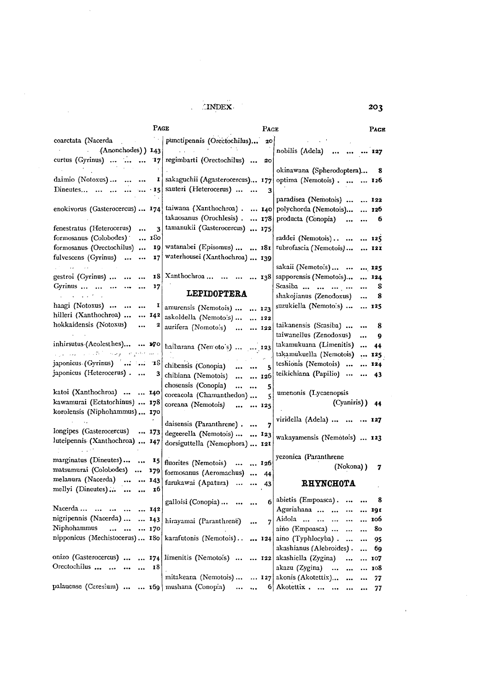.~INDEX, 203

 $\sim$ 

 $\label{eq:2.1} \frac{1}{\sqrt{2}}\int_{\mathbb{R}^3}\frac{1}{\sqrt{2}}\left(\frac{1}{\sqrt{2}}\right)^2\frac{1}{\sqrt{2}}\left(\frac{1}{\sqrt{2}}\right)^2\frac{1}{\sqrt{2}}\left(\frac{1}{\sqrt{2}}\right)^2.$ 

| PAGE                                                                                                           | PAGE<br>PAGE                                        |                                                                                   |           |  |
|----------------------------------------------------------------------------------------------------------------|-----------------------------------------------------|-----------------------------------------------------------------------------------|-----------|--|
| coarctata (Nacerda a control o control o control o control o control o control o control o control o control o | punctipennis (Orectochilus)                         | $\mathcal{A}=\mathcal{A}^{\mathcal{A}}$ , where $\mathcal{A}^{\mathcal{A}}$<br>20 |           |  |
| (Anonchodes) ) 143                                                                                             | <b>Carl Carl</b><br>$\sim$                          | nobilis (Adela)                                                                   |           |  |
| curtus (Gyrinus)<br>÷.<br><b>T7</b><br>$\ddotsc$                                                               | regimbarti (Orectochilus)                           | 20                                                                                |           |  |
|                                                                                                                |                                                     | okinawana (Spherodoptera) 8                                                       |           |  |
| daimio (Notoxus)<br>I<br>$\cdots$                                                                              | sakaguchii (Agasterocercus) 177                     | optima (Nemotois)  126                                                            |           |  |
| Dineutes<br>15                                                                                                 | sauteri (Heterocerus)                               | 3                                                                                 |           |  |
|                                                                                                                |                                                     | paradisea (Nemotois)                                                              | 122       |  |
| enokivorus (Gasterocercus)  174                                                                                | taiwana (Xanthochroa) 140                           | polychorda (Nemotois)                                                             | 126       |  |
|                                                                                                                | takaosanus (Orochlesis).                            | producta (Conopia)<br>178<br>$\ddotsc$<br>                                        | 6         |  |
| fenestratus (Heterocerus)<br>$\cdots$<br>3                                                                     | tamanukii (Gasterocercus)  175                      |                                                                                   |           |  |
| formosanus (Colobodes)<br>180                                                                                  |                                                     | raddei (Nemotois)                                                                 | 125       |  |
| formosanus (Orectochilus)<br>19                                                                                | watanabei (Episomus)   181                          | rubrofascia (Nemotois)                                                            | 121       |  |
| fulvescens (Gyrinus)<br>17<br>$\cdots$<br>$\ddotsc$                                                            | waterhousei (Xanthochroa)  139                      |                                                                                   |           |  |
|                                                                                                                |                                                     | sakaii (Nemotois)                                                                 | 125       |  |
| gestroi (Gyrinus)<br>18<br>$\cdots$                                                                            | Xanthochroa    138                                  | sapporensis (Nemotois)                                                            | 124       |  |
| Gyrinus $\dots$ $\dots$ $\dots$<br>17<br>$\ddotsc$                                                             |                                                     | Scasiba<br>                                                                       | 8         |  |
|                                                                                                                | <b>LEPIDOPTERA</b>                                  | shakojianus (Zenodoxus)<br>                                                       | 8         |  |
| haagi (Notoxus)<br>I<br>$\cdots$                                                                               | amurensis (Nemotois)                                | suzukiella (Nemotois)                                                             | 125       |  |
| hilleri (Xanthochroa)<br>142                                                                                   | 123                                                 |                                                                                   |           |  |
| hokkaidensis (Notoxus)                                                                                         | askoldella (Nemotois)<br>122<br>aurifera (Nomotois) | taikanensis (Scasiba)<br>$\ddotsc$                                                | 8         |  |
|                                                                                                                |                                                     | 122<br>taiwanellus (Zenodoxus)<br>$\ddotsc$                                       | 9         |  |
| inhirsutus (Aeolesthes)  170                                                                                   |                                                     | takamukuana (Limenitis)                                                           | 44        |  |
| السافطين وحماكها بالاستان والمناو                                                                              | baibarana (New oto s)   123                         | takamukuella (Nemotois)                                                           | 125       |  |
| japonicus (Gyrinus)   18                                                                                       |                                                     | teshionis (Nemotois)                                                              | 124       |  |
| japonicus (Heterocerus)<br>3                                                                                   | chibensis (Conopia)<br>$\ddotsc$                    | 5<br>teikichiana (Papilio)                                                        | 43        |  |
|                                                                                                                | chibiana (Nemotois)   126                           |                                                                                   |           |  |
| katoi (Xanthochroa)   140                                                                                      | chosensis (Conopia)<br>                             | 5<br>umenonis (Lycaenopsis                                                        |           |  |
| kawamurai (Ectatorhinus)  178                                                                                  | coreacola (Chamanthedon)                            | 5<br>(Cyaniris))                                                                  | 44        |  |
| korolensis (Niphohammus)  170                                                                                  | coreana (Nemotois)<br>$\ddotsc$                     | 125                                                                               |           |  |
|                                                                                                                |                                                     | viridella (Adela)    127                                                          |           |  |
| longipes (Gasterocercus)  173                                                                                  | daisensis (Paranthrene).<br>$\sim$                  |                                                                                   |           |  |
| luteipennis (Xanthochroa)  147                                                                                 | degeerella (Nemotois)   123                         | wakayamensis (Nemotois)  123                                                      |           |  |
|                                                                                                                | dorsiguttella (Nemophora)  121                      |                                                                                   |           |  |
| marginatus (Dineutes)  15                                                                                      |                                                     | yezonica (Paranthrene                                                             |           |  |
| matsumurai (Colobodes)  179                                                                                    | fluorites (Nemotois)   126                          | (Nokona))                                                                         | 7         |  |
| melanura (Nacerda)<br>143                                                                                      | formosanus (Aeromachus)  44                         |                                                                                   |           |  |
| mellyi (Dineutes)<br>Ιp                                                                                        | furukawai (Apatura)                                 | <b>RHYNCHOTA</b><br>$\cdots$ 43                                                   |           |  |
|                                                                                                                |                                                     | abietis (Empoasca).                                                               | 8         |  |
| Nacerda<br>142                                                                                                 | galloisi (Conopia)                                  | 6<br>Aguriahana                                                                   |           |  |
| nigripennis (Nacerda)                                                                                          |                                                     | Aidola                                                                            | 191       |  |
| 143<br>Niphohammus<br>$\cdots$<br>170                                                                          | hirayamai (Paranthrene)<br>                         | $\overline{7}$<br>aino (Empoasca)                                                 | 106<br>80 |  |
| nipponicus (Mechistocerus) 180                                                                                 | karafutonis (Nemotois)                              | $\ldots$ 124 aino (Typhlocyba). $\ldots$                                          |           |  |
|                                                                                                                |                                                     | $\ddotsc$<br>akashianus (Alebroides).                                             | 95        |  |
| onizo (Gasterocercus)   174 limenitis (Nemotois)                                                               |                                                     |                                                                                   | 69        |  |
| Orectochilus<br>18                                                                                             |                                                     | $\ldots$ 122 akashiella (Zygina)<br>$\cdots$                                      | 107       |  |
| $\cdots$<br>$\ddotsc$                                                                                          |                                                     | akazu (Zygina)    108                                                             |           |  |
|                                                                                                                | mitakeana (Nemotois)                                | $\ldots$ 127 akonis (Akotettix) $\ldots$<br>$\cdots$                              | 77        |  |
| palauense (Ceresium)   169 mushana (Conopia)                                                                   | $\dddotsc$<br>                                      | 6 Akotettix<br>$\ddotsc$                                                          | 77        |  |

 $\mathcal{L}^{\text{max}}_{\text{max}}$  .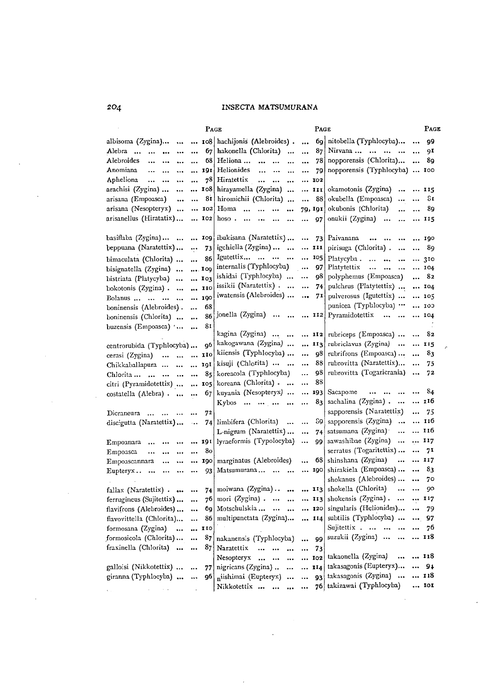## INSECTA MATSVMURANA

|                                         |                             | PAGE                                               |                              | PAGE                                            |            |          |
|-----------------------------------------|-----------------------------|----------------------------------------------------|------------------------------|-------------------------------------------------|------------|----------|
| albisoma (Zygina)<br>                   |                             | 108 hachijonis (Alebroides).                       |                              | 69 nitobella (Typhlocyba)                       | $\ddotsc$  | 99       |
| Alebra<br>$\cdots$<br>$\ddotsc$         |                             | hakonella (Chlorita)<br>67<br>$\ddotsc$            | 87<br>                       | Nirvana                                         |            | 91       |
| Alebroides<br><br><br>$\ddotsc$         |                             | Heliona<br>68<br>$\cdots$<br>$\ddotsc$<br>         | 78<br>                       | nopporensis (Chlorita)                          | $\ddotsc$  | 89       |
| Anomiana<br><br>$\ddotsc$<br>           | 191<br>                     | Helionides<br>$\cdots$<br>$\cdots$<br>$\ddotsc$    | 79<br>$\ddotsc$              | nopporensis (Typhlocyba)  100                   |            |          |
| Apheliona<br>$\ddotsc$<br>$\ddotsc$<br> | $\ddotsc$                   | 78<br>Hiratettix<br>                               | 102<br>$\cdots$              |                                                 |            |          |
| arachisi (Zygina)<br>$\ddotsc$          | I <sub>08</sub><br>$\cdots$ | hirayamella (Zygina)<br>$\ddotsc$                  | III<br>                      | okamotonis (Zygina)<br>$\ddotsc$                |            | $$ 115   |
| arisana (Empoasca)<br>$\ddotsc$         | $\ddotsc$                   | hiromichii (Chlorita)<br>81                        | 88<br>$\ddotsc$              | okubella (Empoasca)<br>$\ddotsc$                | $\ddotsc$  | 8τ       |
| arisana (Nesopteryx)                    | 102<br>$\cdots$             | Homa<br>$\cdots$<br>                               | IQI<br>79,                   | okubonis (Chlorita)<br>                         | $\ddotsc$  | 89       |
| arisanellus (Hiratatix)                 | 102                         | $h$ oso.<br>$\ddotsc$<br>$\ddotsc$<br>$\cdots$<br> | 97<br>                       | onukii (Zygina)<br>                             |            | $$ 115   |
|                                         |                             |                                                    |                              |                                                 |            |          |
| basiflaba $(Zygina) \dots \dots$        | 109                         | ibukisana (Naratettix)                             | $\ddotsc$<br>73              | Paivanana<br>$\ddotsc$<br>$\cdots$<br>$\ddotsc$ |            | 190      |
| beppuana (Naratettix)                   | 73<br>                      | igchiella (Zygina)                                 | III<br>$\cdots$              | pirisuga (Chlorita).<br>$\cdots$                | $\cdots$   | 89       |
| bimaculata (Chlorita)                   | 86<br>                      | Igutettix                                          | $\cdots$<br>105              | Platycyba. $\ldots$ $\ldots$<br>$\ddotsc$       |            | 310      |
| bisignatella (Zygina)                   | $\ldots$ Iog                | internalis (Typhlocyba)                            | $\cdots$<br>97               | Platytettix                                     |            | 104      |
| bistriata (Platycyba)                   | 103                         | ishidai (Typhlocyba)                               | 98<br>                       | polyphemus (Empoasca)                           |            | 82       |
| bokotonis (Zygina)                      | 110<br>$\cdots$             | issikii (Naratettix)                               | 74<br>$\cdots$               | pulchrus (Platytettix)                          |            | 104      |
| Bolanus                                 | 190                         | iwatensis (Alebroides)                             | 71<br>                       | pulverosus (Igutettix)                          |            | 105      |
| boninensis (Alebroides).                | 68<br>                      |                                                    |                              | punicea (Typhlocyba)                            |            | 100      |
| boninensis (Chlorita)                   | 86<br>                      | jonella (Zygina)                                   | II2                          | Pyramidotettix                                  |            | 104      |
| buzensis (Empoasca) '                   | 81<br>$\cdots$              |                                                    |                              |                                                 |            |          |
|                                         |                             | kagina (Zygina)                                    | $\cdots$<br>112              | rubriceps (Empoasca)                            | $\ddotsc$  | 82       |
| centrorubida (Typhlocyba)               | 96                          | kakogawana (Zygina)                                | 113                          | rubriclavus (Zygina)                            |            | $$ $115$ |
| cerasi (Zygina)<br>$\cdots$ $\cdots$    | 110<br>                     | kiiensis (Typhlocyba)                              | 98<br>                       | rubrifrons (Empoasca)                           | $\ddotsc$  | 83       |
| Chikkaballapura                         | 191<br>                     | kisuji (Chlorita)<br>$\ddotsc$                     | 88<br>                       | rubrovitta (Naratettix)                         | $\cdots$   | 75       |
| Chlorita                                | 85<br>                      | koreacola (Typhlocyba)                             | 98<br>                       | rubrovitta (Togaricrania)                       | $\ddotsc$  | 72       |
| citri (Pyramidotettix)                  | 105<br>$\ddotsc$            | koreana (Chlorita)                                 | 88<br>$\cdots$               |                                                 |            |          |
| costatella (Alebra)                     | 67<br>                      | kuyania (Nesopteryx)                               | 193<br>$\cdots$              | Sacapome<br>and and and                         |            | 84       |
|                                         |                             | Kybos<br>$\ddotsc$                                 | 83<br>$\ddotsc$              | sachalina (Zygina)                              |            | 116      |
| Dicraneura                              | 72<br>$\cdots$              |                                                    |                              | sapporensis (Naratettix)                        | $\cdots$   | 75       |
| discigutta (Naratettix)                 | $\dddotsc$                  | 74 limbifera (Chlorita)                            | 89<br>$\ddotsc$              | sapporensis (Zygina)                            |            | 116      |
|                                         |                             | L-nigrum (Naratettix)                              | 74<br>                       | satsumana (Zygina)                              |            | 116      |
| Empoanara<br>$\cdots$                   | 191                         | lyraeformis (Typolocyba)                           | ا وو<br>$\ddotsc$            | sawashibae (Zygina)                             |            | 117      |
| Empoasca<br><br>$\ddotsc$<br>           |                             | 80                                                 |                              | serratus (Togaritettix)                         | $\ddotsc$  | 71       |
| Empoascannara<br><br>$\cdots$           | 190<br>$\cdots$             | marginatus (Alebroides)                            | 68<br>                       | shinshana (Zygina)                              |            | 117      |
| Eupteryx<br>.<br>$\cdots$<br>           |                             | Matsumurana<br>93                                  | 190<br>                      | shirakiela (Empoasca)                           | $\ddotsc$  | 83       |
|                                         |                             |                                                    |                              | shokanus (Alebroides)                           | $\cdots$   | 70       |
| fallax (Naratettix)                     |                             | moiwana (Zygina)<br>$\ddotsc$<br>74                | 113                          | shokella (Chlorita)                             | $\ddotsc$  | 90       |
| ferrugineus (Sujitettix)                |                             | mori $(Zygina)$ .<br>76<br>$\ddotsc$               | 113                          | shokensis $(Zygina)$ .                          |            | 117      |
| flavifrons (Alebroides)                 | $\ddotsc$                   | Motschulskia<br>69<br>                             | 120<br>$\ddotsc$             | singularis (Helionides)                         | $\cdots$   | 79       |
| flavovittella (Chlorita)                |                             | multipunctata (Zygina)<br>86                       | 114                          | subtilis (Typhlocyba)                           | $\ldots$ . | 97       |
| formosana (Zygina)                      | 110<br>$\ddotsc$            |                                                    |                              | Sujitettix                                      | $\ddotsc$  | 76       |
| formosicola (Chlorita)                  | 87<br>                      | nakanensis (Typhlocyba)                            | 99<br>$\ddotsc$              | suzukii (Zygina)                                |            | 118      |
| fraxinella (Chlorita)                   | 87<br>                      | Naratettix<br>$\ddotsc$                            | 7 <sub>3</sub><br>           |                                                 |            |          |
|                                         |                             | Nesopteryx<br>$\cdots$                             | I <sub>O</sub> 2<br>$\cdots$ | takaonella (Zygina)<br>                         |            | 118      |
| galloisi (Nikkotettix)                  | 77<br>                      | nigricans (Zygina)<br>$\ddotsc$                    | II4<br>$\cdots$              | takasagonis (Eupteryx)                          |            | 94       |
| giranna (Typhlocyba)                    | 96<br>$\ddotsc$             | niishimai (Eupteryx)                               | ا 93<br>$\ddotsc$            | takasagonis (Zygina)                            |            | 118      |
|                                         |                             | Nikkotettix<br>.,.                                 |                              | 76 takizawai (Typhlocyba)                       |            | 101      |

 $\ddot{\phantom{0}}$ 

 $\bar{\nu}$ 

 $\cdot$ 

 $\hat{\mathcal{A}}$ 

204

 $\ddot{\phantom{a}}$ 

 $\frac{1}{2}$ 

 $\mathcal{A}$ 

 $\ddot{\phantom{a}}$